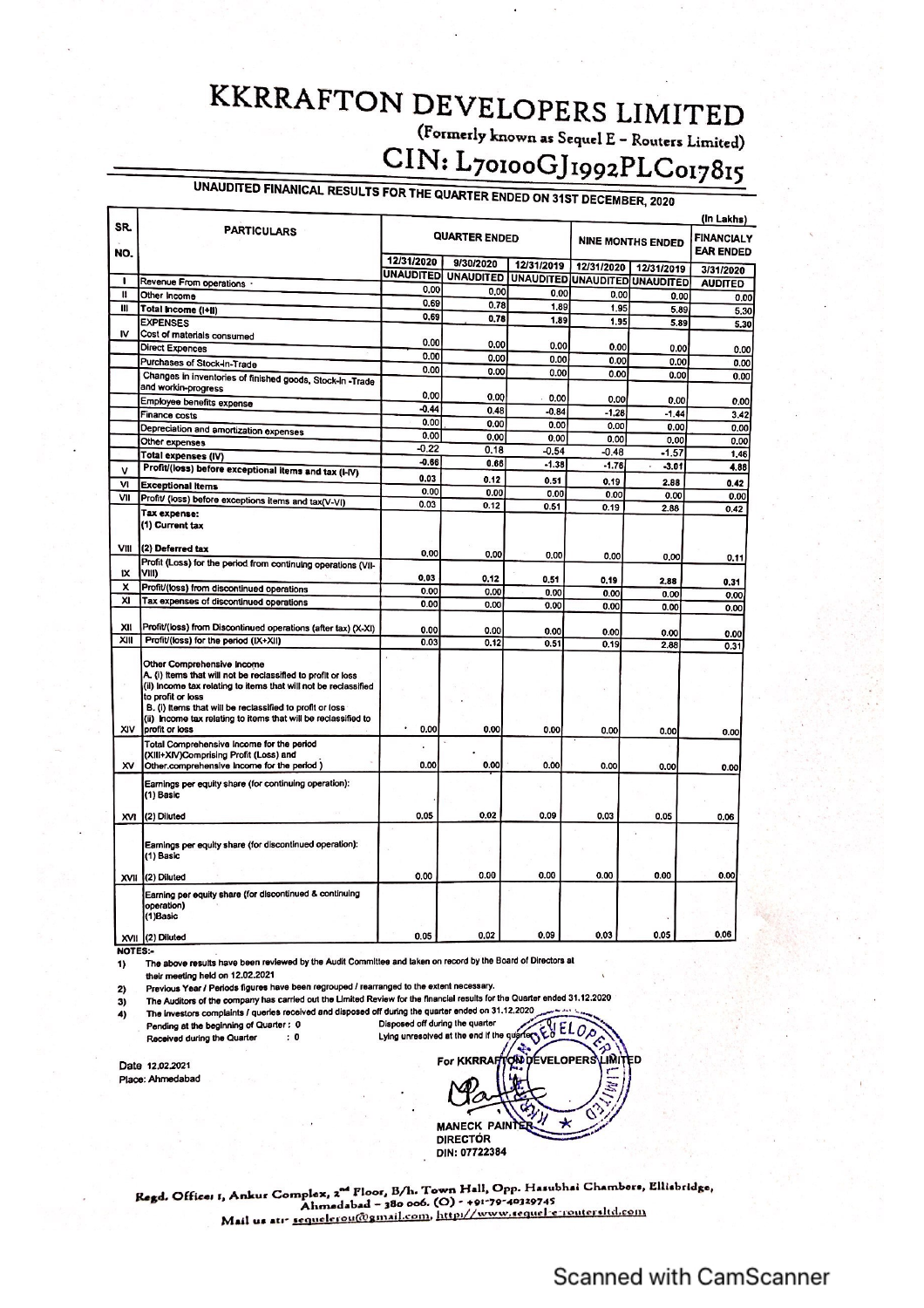## **KKRRAFTON DEVELOPERS LIMITED** (Formerly known as Sequel E - Routers Limited) CIN: L70100GJ1992PLC017815

## UNAUDITED FINANICAL RESULTS FOR THE QUARTER ENDED ON 31ST DECEMBER, 2020

| SR.<br>NO.<br>ı | <b>PARTICULARS</b>                                                                                                                                                                                                                                                                                                                 | <b>QUARTER ENDED</b> |                  |                  | <b>NINE MONTHS ENDED</b> |                    | (In Lakhs)<br><b>FINANCIALY</b><br><b>EAR ENDED</b> |
|-----------------|------------------------------------------------------------------------------------------------------------------------------------------------------------------------------------------------------------------------------------------------------------------------------------------------------------------------------------|----------------------|------------------|------------------|--------------------------|--------------------|-----------------------------------------------------|
|                 |                                                                                                                                                                                                                                                                                                                                    | 12/31/2020           | 9/30/2020        | 12/31/2019       | 12/31/2020               |                    |                                                     |
|                 |                                                                                                                                                                                                                                                                                                                                    | UNAUDITED            | <b>UNAUDITED</b> | <b>UNAUDITED</b> | <b>UNAUDITED</b>         | 12/31/2019         | 3/31/2020                                           |
| $\mathbf{u}$    | Revenue From operations .                                                                                                                                                                                                                                                                                                          | 0.00                 | 0.00             | 0.00             | 0.00                     | <b>UNAUDITED</b>   | <b>AUDITED</b>                                      |
| Ш               | Other Income                                                                                                                                                                                                                                                                                                                       | 0.69                 | 0.78             | 1.89             | 1.95                     | 0.00               | 0.00                                                |
|                 | Total Income (I+II)<br><b>EXPENSES</b>                                                                                                                                                                                                                                                                                             | 0.69                 | 0.78             | 1.89             | 1.95                     | 5.89<br>5.89       | 5,30                                                |
| I۷              | Cost of materials consumed                                                                                                                                                                                                                                                                                                         |                      |                  |                  |                          |                    | 5,30                                                |
|                 | <b>Direct Expences</b>                                                                                                                                                                                                                                                                                                             | 0.00                 | 0.00             | 0.00             | 0.00                     | 0.00               | 0.00                                                |
|                 | Purchases of Stock-in-Trade                                                                                                                                                                                                                                                                                                        | 0.00                 | 0.00             | 0.00             | 0.00                     | 0.00               | 0.00                                                |
|                 |                                                                                                                                                                                                                                                                                                                                    | 0.00                 | 0.00             | 0.00             | 0.00                     | 0.00               | 0.00                                                |
|                 | Changes in inventories of finished goods, Stock-in -Trade<br>and workin-progress                                                                                                                                                                                                                                                   |                      |                  |                  |                          |                    |                                                     |
|                 | Employee benefits expense                                                                                                                                                                                                                                                                                                          | 0.00                 | 0.00             | 0.00             | 0.00                     | 0.00               | 0.00                                                |
|                 | Finance costs                                                                                                                                                                                                                                                                                                                      | $-0.44$              | 0.48             | $-0.84$          | $-1.28$                  | $-1.44$            | 3.42                                                |
|                 | Depreciation and amortization expenses                                                                                                                                                                                                                                                                                             | 0.00                 | 0.00             | 0.00             | 0.00                     | 0.00               | 0.00                                                |
|                 | Other expenses                                                                                                                                                                                                                                                                                                                     | 0.00                 | 0.00             | 0.00             | 0.00                     | 0.00               | 0.00                                                |
|                 | <b>Total expenses (IV)</b>                                                                                                                                                                                                                                                                                                         | $-0.22$              | 0.18             | $-0.54$          | $-0.48$                  | $-1.57$            | 1,46                                                |
| v               | Profit/(loss) before exceptional items and tax (I-IV)                                                                                                                                                                                                                                                                              | $-0.66$              | 0.66             | $-1.38$          | $-1.76$                  | $-3.01$<br>$\cdot$ | 4.88                                                |
| M               | <b>Exceptional Items</b>                                                                                                                                                                                                                                                                                                           | 0.03                 | 0.12             | 0.51             | 0.19                     | 2.88               | 0.42                                                |
| VII             | Profit/ (loss) before exceptions items and tax(V-VI)                                                                                                                                                                                                                                                                               | 0.00                 | 0.00             | 0.00             | 0.00                     | 0.00               | 0.00                                                |
|                 | Tax expense:                                                                                                                                                                                                                                                                                                                       | 0.03                 | 0.12             | 0.51             | 0.19                     | 2.88               | 0.42                                                |
|                 | (1) Current tax                                                                                                                                                                                                                                                                                                                    |                      |                  |                  |                          |                    |                                                     |
| VIII            | (2) Deferred tax                                                                                                                                                                                                                                                                                                                   | 0.00                 | 0.00             | 0.00             | 0.00                     | 0.00               |                                                     |
|                 | Profit (Loss) for the period from continuing operations (VII-                                                                                                                                                                                                                                                                      |                      |                  |                  |                          |                    | 0.11                                                |
| IX              | VIII)                                                                                                                                                                                                                                                                                                                              | 0.03                 | 0.12             | 0.51             | 0,19                     | 2,88               | 0.31                                                |
| x<br>XI         | Profit/(loss) from discontinued operations                                                                                                                                                                                                                                                                                         | 0.00                 | 0.00             | 0.00             | 0.00                     | 0.00               | 0.00                                                |
|                 | Tax expenses of discontinued operations                                                                                                                                                                                                                                                                                            | 0.00                 | 0.00             | 0.00             | 0.00                     | 0.00               | 0.00                                                |
| XII             | Profit/(loss) from Discontinued operations (after tax) (X-XI)                                                                                                                                                                                                                                                                      | 0.00                 | 0.00             | 0.00             | 0.00                     | 0.00               | 0.00                                                |
| XIII            | Profit/(loss) for the period (IX+XII)                                                                                                                                                                                                                                                                                              | 0.03                 | 0.12             | 0.51             | 0.19                     | 2.88               | 0.31                                                |
| XIV             | Other Comprehensive Income<br>A. (i) items that will not be reclassified to profit or loss<br>(ii) Income tax relating to items that will not be reclassified<br>to profit or loss<br>B. (i) Items that will be reclassified to profit or loss<br>(ii) Income tax relating to items that will be reclassified to<br>profit or loss | 0.00                 | 0.00             | 0.00             | 0.00                     | 0.00               | 0.00                                                |
|                 | Total Comprehensive Income for the period                                                                                                                                                                                                                                                                                          |                      |                  |                  |                          |                    |                                                     |
|                 | (XIII+XIV)Comprising Profit (Loss) and                                                                                                                                                                                                                                                                                             |                      |                  |                  |                          |                    |                                                     |
| x٧              | Other.comprehensive income for the period)<br>Earnings per equity share (for continuing operation):<br>(1) Basic                                                                                                                                                                                                                   | 0.00                 | 0.00             | 0.00             | 0.00                     | 0.00               | 0.00                                                |
| <b>XVI</b>      | (2) Diluted                                                                                                                                                                                                                                                                                                                        | 0.05                 | 0.02             | 0.09             | 0.03                     | 0.05               | 0.06                                                |
|                 | Earnings per equity share (for discontinued operation):<br>(1) Basic                                                                                                                                                                                                                                                               |                      |                  |                  |                          |                    |                                                     |
| XVII            | (2) Diluted                                                                                                                                                                                                                                                                                                                        | 0.00                 | 0.00             | 0.00             | 0.00                     | 0.00               | 0.00                                                |
|                 | Earning per equity share (for discontinued & continuing<br>operation)<br>(1)Basic                                                                                                                                                                                                                                                  |                      |                  |                  |                          |                    |                                                     |
|                 | XVII (2) Diluted                                                                                                                                                                                                                                                                                                                   | 0.05                 | 0.02             | 0.09             | 0.03                     | 0.05               | 0.06                                                |

NOTES:-

The above results have been reviewed by the Audit Committee and taken on record by the Board of Directors at  $1)$ their meeting held on 12.02.2021

Previous Year / Periods figures have been regrouped / rearranged to the extent necessary.  $2)$ 

The Auditors of the company has carried out the Limited Review for the financial results for the Quarter ended 31.12.2020 3)

The investors complaints / queries received and disposed off during the quarter ended on 31.12.2020  $4)$ Pending at the beginning of Quarter : 0 Disposed off during the quarter

 $\colon$  0 Received during the Quarter

Date 12,02,2021 Place: Ahmedabad

 $ELO$ Lying unresolved at the end if th R  $\mathbf{w}$ DEVELOPERS **JMI** 'n **MANECK PAIN DIRECTÓR** DIN: 07722384

Regd, Office: 1, Ankur Complex, 2<sup>nd</sup> Floor, B/h. Town Hall, Opp. Hasubhai Chambers, Ellisbridge,<br>Ahmedabad – 380 006. (O) - +91-79-40329745<br>Mail us atı- <u>sequelerou(@gmail.com, http://www.sequel-e-routersItd.com</u>